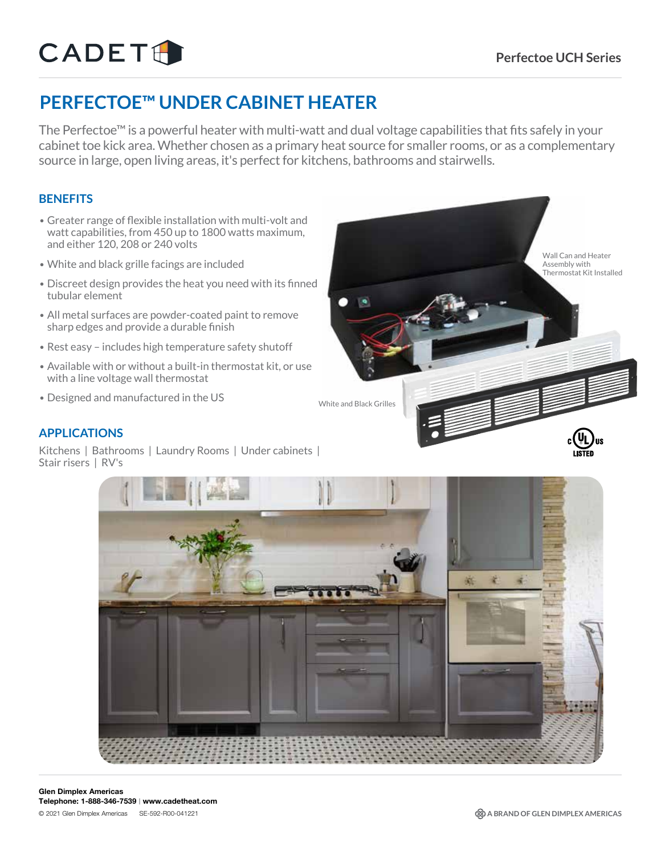# CADETH

## **PERFECTOE™ UNDER CABINET HEATER**

The Perfectoe™ is a powerful heater with multi-watt and dual voltage capabilities that fits safely in your cabinet toe kick area. Whether chosen as a primary heat source for smaller rooms, or as a complementary source in large, open living areas, it's perfect for kitchens, bathrooms and stairwells.

### **BENEFITS**

- Greater range of flexible installation with multi-volt and watt capabilities, from 450 up to 1800 watts maximum, and either 120, 208 or 240 volts
- White and black grille facings are included
- Discreet design provides the heat you need with its finned tubular element
- All metal surfaces are powder-coated paint to remove sharp edges and provide a durable finish
- Rest easy includes high temperature safety shutoff
- Available with or without a built-in thermostat kit, or use with a line voltage wall thermostat
- Designed and manufactured in the US



#### **APPLICATIONS**

Kitchens | Bathrooms | Laundry Rooms | Under cabinets | Stair risers | RV's